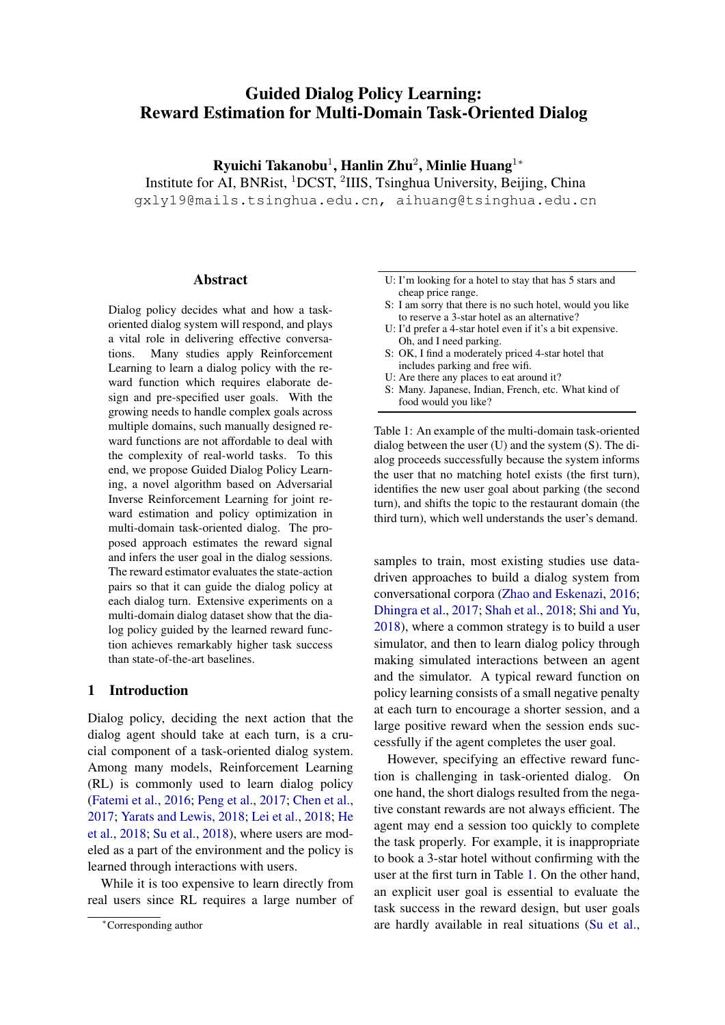# Guided Dialog Policy Learning: Reward Estimation for Multi-Domain Task-Oriented Dialog

Ryuichi Takanobu<sup>1</sup>, Hanlin Zhu<sup>2</sup>, Minlie Huang<sup>1</sup>\* Institute for AI, BNRist, <sup>1</sup>DCST, <sup>2</sup>IIIS, Tsinghua University, Beijing, China gxly19@mails.tsinghua.edu.cn, aihuang@tsinghua.edu.cn

## Abstract

Dialog policy decides what and how a taskoriented dialog system will respond, and plays a vital role in delivering effective conversations. Many studies apply Reinforcement Learning to learn a dialog policy with the reward function which requires elaborate design and pre-specified user goals. With the growing needs to handle complex goals across multiple domains, such manually designed reward functions are not affordable to deal with the complexity of real-world tasks. To this end, we propose Guided Dialog Policy Learning, a novel algorithm based on Adversarial Inverse Reinforcement Learning for joint reward estimation and policy optimization in multi-domain task-oriented dialog. The proposed approach estimates the reward signal and infers the user goal in the dialog sessions. The reward estimator evaluates the state-action pairs so that it can guide the dialog policy at each dialog turn. Extensive experiments on a multi-domain dialog dataset show that the dialog policy guided by the learned reward function achieves remarkably higher task success than state-of-the-art baselines.

## 1 Introduction

Dialog policy, deciding the next action that the dialog agent should take at each turn, is a crucial component of a task-oriented dialog system. Among many models, Reinforcement Learning (RL) is commonly used to learn dialog policy [\(Fatemi et al.,](#page-9-0) [2016;](#page-9-0) [Peng et al.,](#page-9-1) [2017;](#page-9-1) [Chen et al.,](#page-9-2) [2017;](#page-9-2) [Yarats and Lewis,](#page-10-0) [2018;](#page-10-0) [Lei et al.,](#page-9-3) [2018;](#page-9-3) [He](#page-9-4) [et al.,](#page-9-4) [2018;](#page-9-4) [Su et al.,](#page-10-1) [2018\)](#page-10-1), where users are modeled as a part of the environment and the policy is learned through interactions with users.

While it is too expensive to learn directly from real users since RL requires a large number of

- <span id="page-0-0"></span>U: I'm looking for a hotel to stay that has 5 stars and cheap price range.
- S: I am sorry that there is no such hotel, would you like to reserve a 3-star hotel as an alternative?
- U: I'd prefer a 4-star hotel even if it's a bit expensive. Oh, and I need parking.
- S: OK, I find a moderately priced 4-star hotel that includes parking and free wifi.
- U: Are there any places to eat around it?
- S: Many. Japanese, Indian, French, etc. What kind of food would you like?

Table 1: An example of the multi-domain task-oriented dialog between the user (U) and the system (S). The dialog proceeds successfully because the system informs the user that no matching hotel exists (the first turn), identifies the new user goal about parking (the second turn), and shifts the topic to the restaurant domain (the third turn), which well understands the user's demand.

samples to train, most existing studies use datadriven approaches to build a dialog system from conversational corpora [\(Zhao and Eskenazi,](#page-10-2) [2016;](#page-10-2) [Dhingra et al.,](#page-9-5) [2017;](#page-9-5) [Shah et al.,](#page-10-3) [2018;](#page-10-3) [Shi and Yu,](#page-10-4) [2018\)](#page-10-4), where a common strategy is to build a user simulator, and then to learn dialog policy through making simulated interactions between an agent and the simulator. A typical reward function on policy learning consists of a small negative penalty at each turn to encourage a shorter session, and a large positive reward when the session ends successfully if the agent completes the user goal.

However, specifying an effective reward function is challenging in task-oriented dialog. On one hand, the short dialogs resulted from the negative constant rewards are not always efficient. The agent may end a session too quickly to complete the task properly. For example, it is inappropriate to book a 3-star hotel without confirming with the user at the first turn in Table [1.](#page-0-0) On the other hand, an explicit user goal is essential to evaluate the task success in the reward design, but user goals are hardly available in real situations [\(Su et al.,](#page-10-5)

<sup>∗</sup>Corresponding author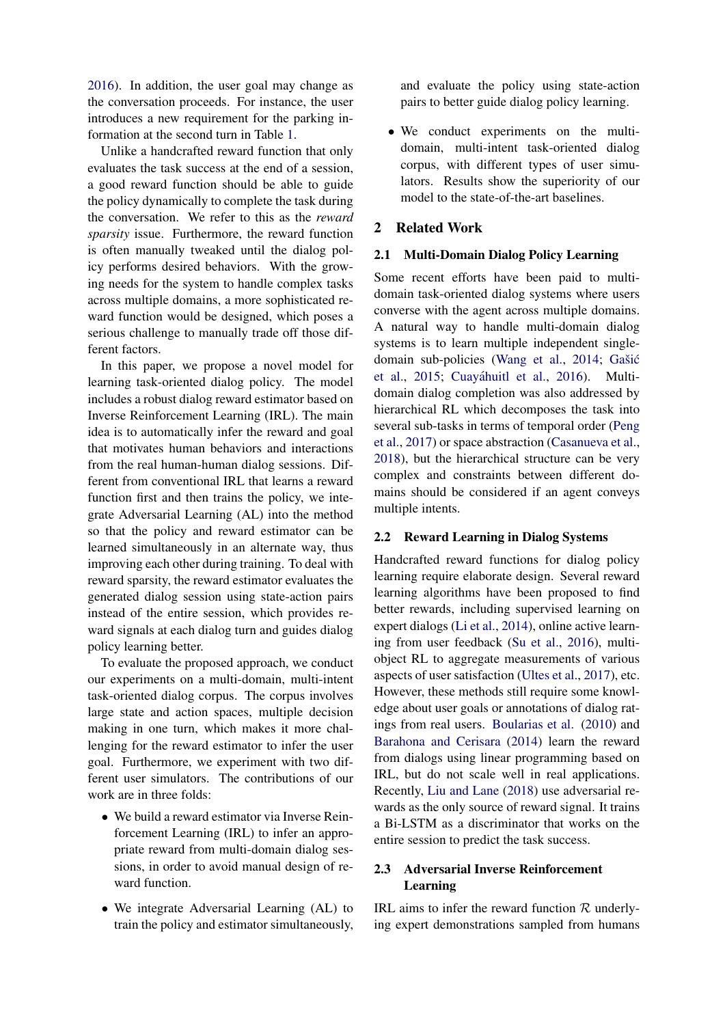[2016\)](#page-10-5). In addition, the user goal may change as the conversation proceeds. For instance, the user introduces a new requirement for the parking information at the second turn in Table [1.](#page-0-0)

Unlike a handcrafted reward function that only evaluates the task success at the end of a session, a good reward function should be able to guide the policy dynamically to complete the task during the conversation. We refer to this as the *reward sparsity* issue. Furthermore, the reward function is often manually tweaked until the dialog policy performs desired behaviors. With the growing needs for the system to handle complex tasks across multiple domains, a more sophisticated reward function would be designed, which poses a serious challenge to manually trade off those different factors.

In this paper, we propose a novel model for learning task-oriented dialog policy. The model includes a robust dialog reward estimator based on Inverse Reinforcement Learning (IRL). The main idea is to automatically infer the reward and goal that motivates human behaviors and interactions from the real human-human dialog sessions. Different from conventional IRL that learns a reward function first and then trains the policy, we integrate Adversarial Learning (AL) into the method so that the policy and reward estimator can be learned simultaneously in an alternate way, thus improving each other during training. To deal with reward sparsity, the reward estimator evaluates the generated dialog session using state-action pairs instead of the entire session, which provides reward signals at each dialog turn and guides dialog policy learning better.

To evaluate the proposed approach, we conduct our experiments on a multi-domain, multi-intent task-oriented dialog corpus. The corpus involves large state and action spaces, multiple decision making in one turn, which makes it more challenging for the reward estimator to infer the user goal. Furthermore, we experiment with two different user simulators. The contributions of our work are in three folds:

- We build a reward estimator via Inverse Reinforcement Learning (IRL) to infer an appropriate reward from multi-domain dialog sessions, in order to avoid manual design of reward function.
- We integrate Adversarial Learning (AL) to train the policy and estimator simultaneously,

and evaluate the policy using state-action pairs to better guide dialog policy learning.

• We conduct experiments on the multidomain, multi-intent task-oriented dialog corpus, with different types of user simulators. Results show the superiority of our model to the state-of-the-art baselines.

# 2 Related Work

#### 2.1 Multi-Domain Dialog Policy Learning

Some recent efforts have been paid to multidomain task-oriented dialog systems where users converse with the agent across multiple domains. A natural way to handle multi-domain dialog systems is to learn multiple independent single-domain sub-policies [\(Wang et al.,](#page-10-6) [2014;](#page-10-6) Gašić [et al.,](#page-9-6) [2015;](#page-9-6) Cuayáhuitl et al., [2016\)](#page-9-7). Multidomain dialog completion was also addressed by hierarchical RL which decomposes the task into several sub-tasks in terms of temporal order [\(Peng](#page-9-1) [et al.,](#page-9-1) [2017\)](#page-9-1) or space abstraction [\(Casanueva et al.,](#page-9-8) [2018\)](#page-9-8), but the hierarchical structure can be very complex and constraints between different domains should be considered if an agent conveys multiple intents.

## 2.2 Reward Learning in Dialog Systems

Handcrafted reward functions for dialog policy learning require elaborate design. Several reward learning algorithms have been proposed to find better rewards, including supervised learning on expert dialogs [\(Li et al.,](#page-9-9) [2014\)](#page-9-9), online active learning from user feedback [\(Su et al.,](#page-10-5) [2016\)](#page-10-5), multiobject RL to aggregate measurements of various aspects of user satisfaction [\(Ultes et al.,](#page-10-7) [2017\)](#page-10-7), etc. However, these methods still require some knowledge about user goals or annotations of dialog ratings from real users. [Boularias et al.](#page-9-10) [\(2010\)](#page-9-10) and [Barahona and Cerisara](#page-9-11) [\(2014\)](#page-9-11) learn the reward from dialogs using linear programming based on IRL, but do not scale well in real applications. Recently, [Liu and Lane](#page-9-12) [\(2018\)](#page-9-12) use adversarial rewards as the only source of reward signal. It trains a Bi-LSTM as a discriminator that works on the entire session to predict the task success.

# 2.3 Adversarial Inverse Reinforcement Learning

IRL aims to infer the reward function  $R$  underlying expert demonstrations sampled from humans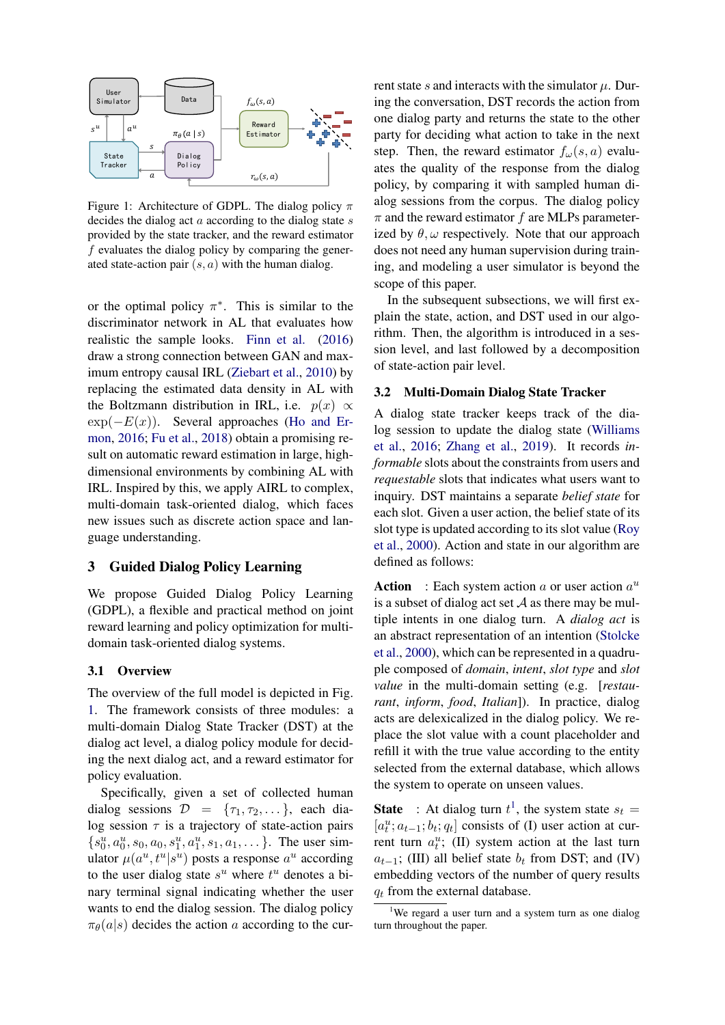<span id="page-2-0"></span>

Figure 1: Architecture of GDPL. The dialog policy  $\pi$ decides the dialog act  $a$  according to the dialog state  $s$ provided by the state tracker, and the reward estimator  $f$  evaluates the dialog policy by comparing the generated state-action pair  $(s, a)$  with the human dialog.

or the optimal policy  $\pi^*$ . This is similar to the discriminator network in AL that evaluates how realistic the sample looks. [Finn et al.](#page-9-13) [\(2016\)](#page-9-13) draw a strong connection between GAN and maximum entropy causal IRL [\(Ziebart et al.,](#page-10-8) [2010\)](#page-10-8) by replacing the estimated data density in AL with the Boltzmann distribution in IRL, i.e.  $p(x) \propto$  $\exp(-E(x))$ . Several approaches [\(Ho and Er](#page-9-14)[mon,](#page-9-14) [2016;](#page-9-14) [Fu et al.,](#page-9-15) [2018\)](#page-9-15) obtain a promising result on automatic reward estimation in large, highdimensional environments by combining AL with IRL. Inspired by this, we apply AIRL to complex, multi-domain task-oriented dialog, which faces new issues such as discrete action space and language understanding.

## 3 Guided Dialog Policy Learning

We propose Guided Dialog Policy Learning (GDPL), a flexible and practical method on joint reward learning and policy optimization for multidomain task-oriented dialog systems.

#### 3.1 Overview

The overview of the full model is depicted in Fig. [1.](#page-2-0) The framework consists of three modules: a multi-domain Dialog State Tracker (DST) at the dialog act level, a dialog policy module for deciding the next dialog act, and a reward estimator for policy evaluation.

Specifically, given a set of collected human dialog sessions  $\mathcal{D} = \{\tau_1, \tau_2, \dots\}$ , each dialog session  $\tau$  is a trajectory of state-action pairs  ${s_0^u, a_0^u, s_0, a_0, s_1^u, a_1^u, s_1, a_1, \dots}$ . The user simulator  $\mu(a^u, t^u | s^u)$  posts a response  $a^u$  according to the user dialog state  $s^u$  where  $t^u$  denotes a binary terminal signal indicating whether the user wants to end the dialog session. The dialog policy  $\pi_{\theta}(a|s)$  decides the action a according to the current state s and interacts with the simulator  $\mu$ . During the conversation, DST records the action from one dialog party and returns the state to the other party for deciding what action to take in the next step. Then, the reward estimator  $f_{\omega}(s, a)$  evaluates the quality of the response from the dialog policy, by comparing it with sampled human dialog sessions from the corpus. The dialog policy  $\pi$  and the reward estimator f are MLPs parameterized by  $\theta$ ,  $\omega$  respectively. Note that our approach does not need any human supervision during training, and modeling a user simulator is beyond the scope of this paper.

In the subsequent subsections, we will first explain the state, action, and DST used in our algorithm. Then, the algorithm is introduced in a session level, and last followed by a decomposition of state-action pair level.

# 3.2 Multi-Domain Dialog State Tracker

A dialog state tracker keeps track of the dialog session to update the dialog state [\(Williams](#page-10-9) [et al.,](#page-10-9) [2016;](#page-10-9) [Zhang et al.,](#page-10-10) [2019\)](#page-10-10). It records *informable* slots about the constraints from users and *requestable* slots that indicates what users want to inquiry. DST maintains a separate *belief state* for each slot. Given a user action, the belief state of its slot type is updated according to its slot value [\(Roy](#page-10-11) [et al.,](#page-10-11) [2000\)](#page-10-11). Action and state in our algorithm are defined as follows:

**Action** : Each system action a or user action  $a^u$ is a subset of dialog act set  $A$  as there may be multiple intents in one dialog turn. A *dialog act* is an abstract representation of an intention [\(Stolcke](#page-10-12) [et al.,](#page-10-12) [2000\)](#page-10-12), which can be represented in a quadruple composed of *domain*, *intent*, *slot type* and *slot value* in the multi-domain setting (e.g. [*restaurant*, *inform*, *food*, *Italian*]). In practice, dialog acts are delexicalized in the dialog policy. We replace the slot value with a count placeholder and refill it with the true value according to the entity selected from the external database, which allows the system to operate on unseen values.

**State** : At dialog turn  $t^1$  $t^1$ , the system state  $s_t =$  $[a_t^u; a_{t-1}; b_t; q_t]$  consists of (I) user action at current turn  $a_t^u$ ; (II) system action at the last turn  $a_{t-1}$ ; (III) all belief state  $b_t$  from DST; and (IV) embedding vectors of the number of query results  $q_t$  from the external database.

<span id="page-2-1"></span><sup>&</sup>lt;sup>1</sup>We regard a user turn and a system turn as one dialog turn throughout the paper.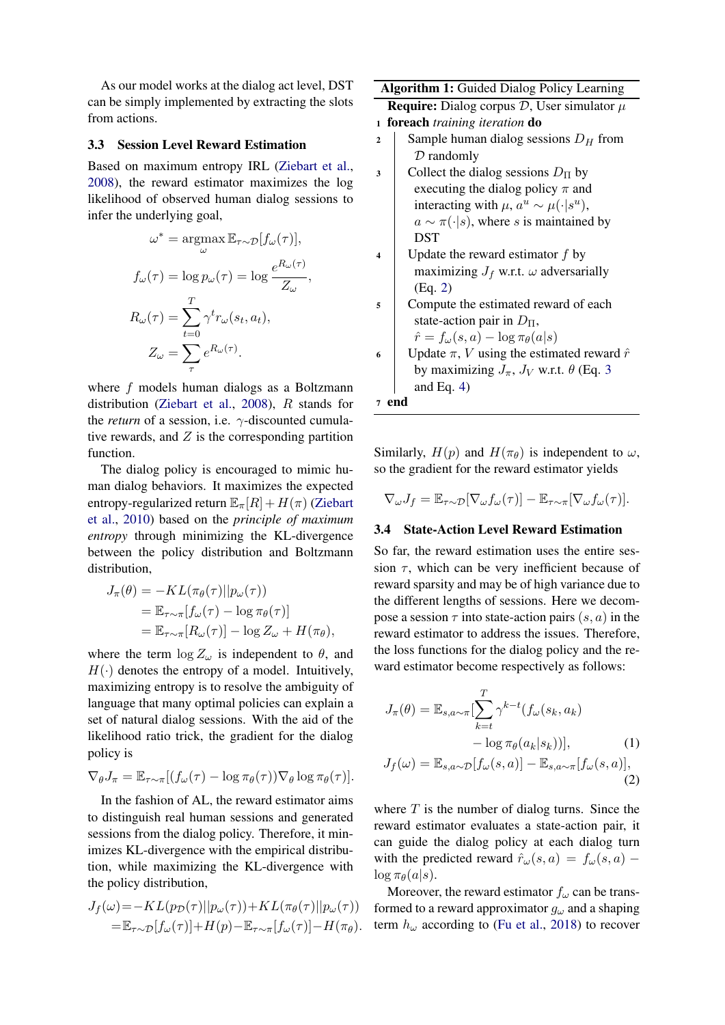As our model works at the dialog act level, DST can be simply implemented by extracting the slots from actions.

#### 3.3 Session Level Reward Estimation

Based on maximum entropy IRL [\(Ziebart et al.,](#page-10-13) [2008\)](#page-10-13), the reward estimator maximizes the log likelihood of observed human dialog sessions to infer the underlying goal,

$$
\omega^* = \operatorname*{argmax}_{\omega} \mathbb{E}_{\tau \sim \mathcal{D}}[f_{\omega}(\tau)],
$$

$$
f_{\omega}(\tau) = \log p_{\omega}(\tau) = \log \frac{e^{R_{\omega}(\tau)}}{Z_{\omega}},
$$

$$
R_{\omega}(\tau) = \sum_{t=0}^{T} \gamma^t r_{\omega}(s_t, a_t),
$$

$$
Z_{\omega} = \sum_{\tau} e^{R_{\omega}(\tau)}.
$$

where f models human dialogs as a Boltzmann distribution [\(Ziebart et al.,](#page-10-13) [2008\)](#page-10-13), R stands for the *return* of a session, i.e. γ-discounted cumulative rewards, and  $Z$  is the corresponding partition function.

The dialog policy is encouraged to mimic human dialog behaviors. It maximizes the expected entropy-regularized return  $\mathbb{E}_{\pi}[R] + H(\pi)$  [\(Ziebart](#page-10-8) [et al.,](#page-10-8) [2010\)](#page-10-8) based on the *principle of maximum entropy* through minimizing the KL-divergence between the policy distribution and Boltzmann distribution,

$$
J_{\pi}(\theta) = -KL(\pi_{\theta}(\tau)||p_{\omega}(\tau))
$$
  
=  $\mathbb{E}_{\tau \sim \pi}[f_{\omega}(\tau) - \log \pi_{\theta}(\tau)]$   
=  $\mathbb{E}_{\tau \sim \pi}[R_{\omega}(\tau)] - \log Z_{\omega} + H(\pi_{\theta}),$ 

where the term  $\log Z_{\omega}$  is independent to  $\theta$ , and  $H(\cdot)$  denotes the entropy of a model. Intuitively, maximizing entropy is to resolve the ambiguity of language that many optimal policies can explain a set of natural dialog sessions. With the aid of the likelihood ratio trick, the gradient for the dialog policy is

$$
\nabla_{\theta} J_{\pi} = \mathbb{E}_{\tau \sim \pi} [(f_{\omega}(\tau) - \log \pi_{\theta}(\tau)) \nabla_{\theta} \log \pi_{\theta}(\tau)].
$$

In the fashion of AL, the reward estimator aims to distinguish real human sessions and generated sessions from the dialog policy. Therefore, it minimizes KL-divergence with the empirical distribution, while maximizing the KL-divergence with the policy distribution,

$$
J_f(\omega) = -KL(p_D(\tau)||p_\omega(\tau)) + KL(\pi_\theta(\tau)||p_\omega(\tau))
$$
  
=  $\mathbb{E}_{\tau \sim D}[f_\omega(\tau)] + H(p) - \mathbb{E}_{\tau \sim \pi}[f_\omega(\tau)] - H(\pi_\theta).$ 

|                | <b>Algorithm 1:</b> Guided Dialog Policy Learning        |  |  |  |  |  |
|----------------|----------------------------------------------------------|--|--|--|--|--|
|                | <b>Require:</b> Dialog corpus $D$ , User simulator $\mu$ |  |  |  |  |  |
| $\mathbf{1}$   | foreach training iteration do                            |  |  |  |  |  |
| $\overline{2}$ | Sample human dialog sessions $D_H$ from                  |  |  |  |  |  |
|                | $D$ randomly                                             |  |  |  |  |  |
| 3              | Collect the dialog sessions $D_{\Pi}$ by                 |  |  |  |  |  |
|                | executing the dialog policy $\pi$ and                    |  |  |  |  |  |
|                | interacting with $\mu$ , $a^u \sim \mu(\cdot   s^u)$ ,   |  |  |  |  |  |
|                | $a \sim \pi(\cdot s)$ , where s is maintained by         |  |  |  |  |  |
|                | <b>DST</b>                                               |  |  |  |  |  |
| 4              | Update the reward estimator $f$ by                       |  |  |  |  |  |
|                | maximizing $J_f$ w.r.t. $\omega$ adversarially           |  |  |  |  |  |
|                | (Eq. 2)                                                  |  |  |  |  |  |
| 5              | Compute the estimated reward of each                     |  |  |  |  |  |
|                | state-action pair in $D_{\Pi}$ ,                         |  |  |  |  |  |
|                | $\hat{r} = f_{\omega}(s, a) - \log \pi_{\theta}(a s)$    |  |  |  |  |  |
| 6              | Update $\pi$ , V using the estimated reward $\hat{r}$    |  |  |  |  |  |
|                | by maximizing $J_{\pi}$ , $J_V$ w.r.t. $\theta$ (Eq. 3)  |  |  |  |  |  |
|                | and Eq. $4$ )                                            |  |  |  |  |  |
| 7              | end                                                      |  |  |  |  |  |

<span id="page-3-1"></span>Similarly,  $H(p)$  and  $H(\pi_{\theta})$  is independent to  $\omega$ , so the gradient for the reward estimator yields

$$
\nabla_{\omega} J_f = \mathbb{E}_{\tau \sim \mathcal{D}}[\nabla_{\omega} f_{\omega}(\tau)] - \mathbb{E}_{\tau \sim \pi}[\nabla_{\omega} f_{\omega}(\tau)].
$$

#### 3.4 State-Action Level Reward Estimation

So far, the reward estimation uses the entire session  $\tau$ , which can be very inefficient because of reward sparsity and may be of high variance due to the different lengths of sessions. Here we decompose a session  $\tau$  into state-action pairs  $(s, a)$  in the reward estimator to address the issues. Therefore, the loss functions for the dialog policy and the reward estimator become respectively as follows:

<span id="page-3-0"></span>
$$
J_{\pi}(\theta) = \mathbb{E}_{s,a \sim \pi} \left[ \sum_{k=t}^{T} \gamma^{k-t} (f_{\omega}(s_k, a_k) - \log \pi_{\theta}(a_k|s_k)) \right],
$$
 (1)  

$$
J_f(\omega) = \mathbb{E}_{s,a \sim \mathcal{D}} [f_{\omega}(s,a)] - \mathbb{E}_{s,a \sim \pi} [f_{\omega}(s,a)],
$$
 (2)

where  $T$  is the number of dialog turns. Since the reward estimator evaluates a state-action pair, it can guide the dialog policy at each dialog turn with the predicted reward  $\hat{r}_\omega(s, a) = f_\omega(s, a)$  –  $\log \pi_{\theta}(a|s)$ .

Moreover, the reward estimator  $f_{\omega}$  can be transformed to a reward approximator  $g_{\omega}$  and a shaping term  $h_{\omega}$  according to [\(Fu et al.,](#page-9-15) [2018\)](#page-9-15) to recover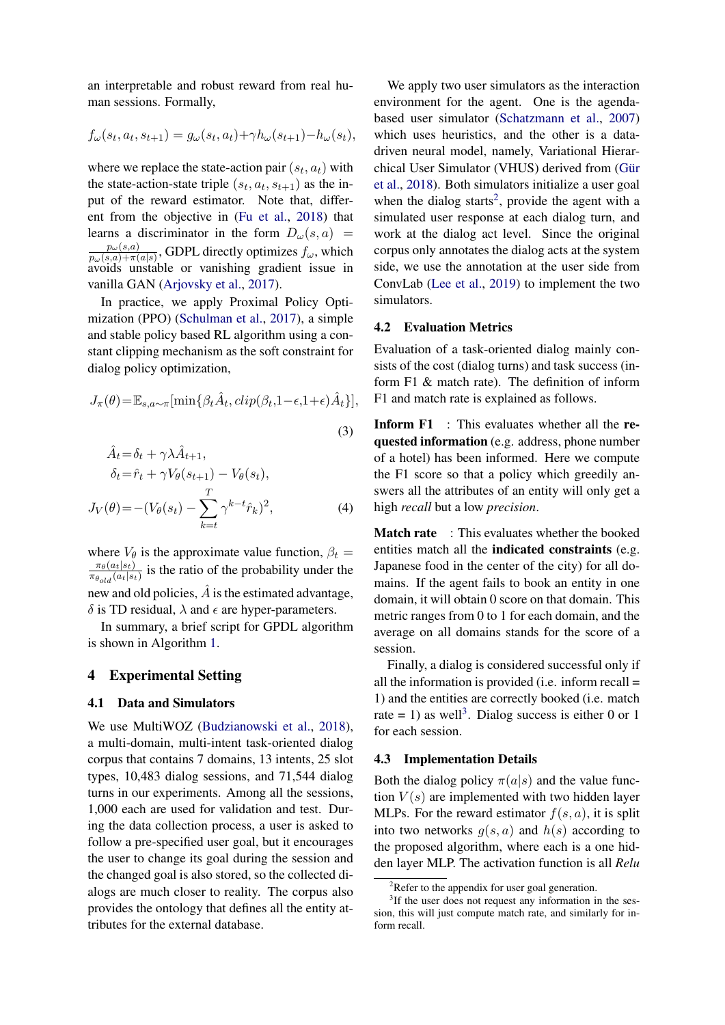an interpretable and robust reward from real human sessions. Formally,

$$
f_{\omega}(s_t, a_t, s_{t+1}) = g_{\omega}(s_t, a_t) + \gamma h_{\omega}(s_{t+1}) - h_{\omega}(s_t),
$$

where we replace the state-action pair  $(s_t, a_t)$  with the state-action-state triple  $(s_t, a_t, s_{t+1})$  as the input of the reward estimator. Note that, different from the objective in [\(Fu et al.,](#page-9-15) [2018\)](#page-9-15) that learns a discriminator in the form  $D_{\omega}(s, a)$  =  $p_\omega(s,a)$  $\frac{p_{\omega}(s,a)}{p_{\omega}(s,a)+\pi(a|s)}$ , GDPL directly optimizes  $f_{\omega}$ , which avoids unstable or vanishing gradient issue in vanilla GAN [\(Arjovsky et al.,](#page-9-16) [2017\)](#page-9-16).

In practice, we apply Proximal Policy Optimization (PPO) [\(Schulman et al.,](#page-10-14) [2017\)](#page-10-14), a simple and stable policy based RL algorithm using a constant clipping mechanism as the soft constraint for dialog policy optimization,

$$
J_{\pi}(\theta) = \mathbb{E}_{s,a \sim \pi} [\min\{\beta_t \hat{A}_t, clip(\beta_t, 1 - \epsilon, 1 + \epsilon)\hat{A}_t\}],
$$
  
(3)

$$
A_t = \delta_t + \gamma \lambda A_{t+1},
$$
  
\n
$$
\delta_t = \hat{r}_t + \gamma V_\theta(s_{t+1}) - V_\theta(s_t),
$$
  
\n
$$
J_V(\theta) = -(V_\theta(s_t) - \sum_{k=t}^T \gamma^{k-t} \hat{r}_k)^2,
$$
\n(4)

where  $V_{\theta}$  is the approximate value function,  $\beta_t =$  $\pi_{\theta}(a_t|s_t)$  $\frac{\pi_{\theta}(a_t|s_t)}{\pi_{\theta_{old}}(a_t|s_t)}$  is the ratio of the probability under the new and old policies,  $\hat{A}$  is the estimated advantage, δ is TD residual,  $λ$  and  $ε$  are hyper-parameters.

In summary, a brief script for GPDL algorithm is shown in Algorithm [1.](#page-3-1)

## 4 Experimental Setting

#### 4.1 Data and Simulators

We use MultiWOZ [\(Budzianowski et al.,](#page-9-17) [2018\)](#page-9-17), a multi-domain, multi-intent task-oriented dialog corpus that contains 7 domains, 13 intents, 25 slot types, 10,483 dialog sessions, and 71,544 dialog turns in our experiments. Among all the sessions, 1,000 each are used for validation and test. During the data collection process, a user is asked to follow a pre-specified user goal, but it encourages the user to change its goal during the session and the changed goal is also stored, so the collected dialogs are much closer to reality. The corpus also provides the ontology that defines all the entity attributes for the external database.

We apply two user simulators as the interaction environment for the agent. One is the agendabased user simulator [\(Schatzmann et al.,](#page-10-15) [2007\)](#page-10-15) which uses heuristics, and the other is a datadriven neural model, namely, Variational Hierarchical User Simulator (VHUS) derived from (Gür [et al.,](#page-9-18) [2018\)](#page-9-18). Both simulators initialize a user goal when the dialog starts<sup>[2](#page-4-2)</sup>, provide the agent with a simulated user response at each dialog turn, and work at the dialog act level. Since the original corpus only annotates the dialog acts at the system side, we use the annotation at the user side from ConvLab [\(Lee et al.,](#page-9-19) [2019\)](#page-9-19) to implement the two simulators.

## 4.2 Evaluation Metrics

Evaluation of a task-oriented dialog mainly consists of the cost (dialog turns) and task success (inform F1 & match rate). The definition of inform F1 and match rate is explained as follows.

<span id="page-4-0"></span>Inform F1 : This evaluates whether all the requested information (e.g. address, phone number of a hotel) has been informed. Here we compute the F1 score so that a policy which greedily answers all the attributes of an entity will only get a high *recall* but a low *precision*.

<span id="page-4-1"></span>Match rate : This evaluates whether the booked entities match all the indicated constraints (e.g. Japanese food in the center of the city) for all domains. If the agent fails to book an entity in one domain, it will obtain 0 score on that domain. This metric ranges from 0 to 1 for each domain, and the average on all domains stands for the score of a session.

Finally, a dialog is considered successful only if all the information is provided (i.e. inform recall = 1) and the entities are correctly booked (i.e. match rate = 1) as well<sup>[3](#page-4-3)</sup>. Dialog success is either 0 or 1 for each session.

# 4.3 Implementation Details

Both the dialog policy  $\pi(a|s)$  and the value function  $V(s)$  are implemented with two hidden layer MLPs. For the reward estimator  $f(s, a)$ , it is split into two networks  $g(s, a)$  and  $h(s)$  according to the proposed algorithm, where each is a one hidden layer MLP. The activation function is all *Relu*

<span id="page-4-3"></span><span id="page-4-2"></span> $2R$ efer to the appendix for user goal generation.

<sup>&</sup>lt;sup>3</sup>If the user does not request any information in the session, this will just compute match rate, and similarly for inform recall.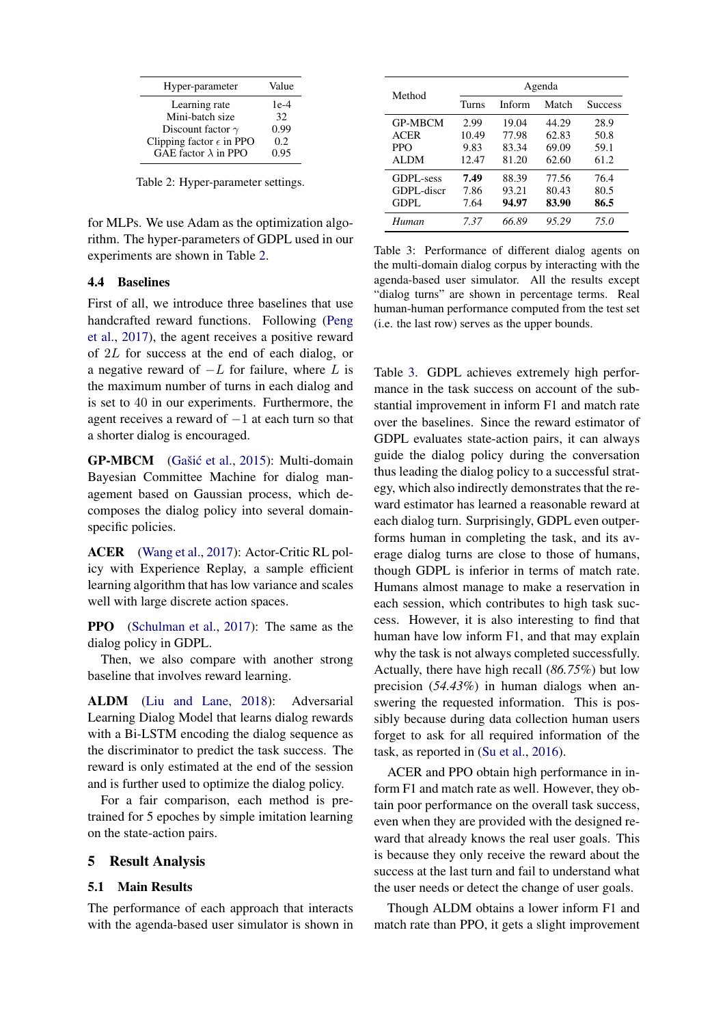<span id="page-5-0"></span>

| Hyper-parameter                   | Value  |
|-----------------------------------|--------|
| Learning rate                     | $1e-4$ |
| Mini-batch size                   | 32     |
| Discount factor $\gamma$          | 0.99   |
| Clipping factor $\epsilon$ in PPO | 0.2    |
| GAE factor $\lambda$ in PPO       | 0.95   |

Table 2: Hyper-parameter settings.

for MLPs. We use Adam as the optimization algorithm. The hyper-parameters of GDPL used in our experiments are shown in Table [2.](#page-5-0)

#### 4.4 Baselines

First of all, we introduce three baselines that use handcrafted reward functions. Following [\(Peng](#page-9-1) [et al.,](#page-9-1) [2017\)](#page-9-1), the agent receives a positive reward of 2L for success at the end of each dialog, or a negative reward of  $-L$  for failure, where L is the maximum number of turns in each dialog and is set to 40 in our experiments. Furthermore, the agent receives a reward of −1 at each turn so that a shorter dialog is encouraged.

GP-MBCM (Gašić et al., [2015\)](#page-9-6): Multi-domain Bayesian Committee Machine for dialog management based on Gaussian process, which decomposes the dialog policy into several domainspecific policies.

ACER [\(Wang et al.,](#page-10-16) [2017\)](#page-10-16): Actor-Critic RL policy with Experience Replay, a sample efficient learning algorithm that has low variance and scales well with large discrete action spaces.

PPO [\(Schulman et al.,](#page-10-14) [2017\)](#page-10-14): The same as the dialog policy in GDPL.

Then, we also compare with another strong baseline that involves reward learning.

ALDM [\(Liu and Lane,](#page-9-12) [2018\)](#page-9-12): Adversarial Learning Dialog Model that learns dialog rewards with a Bi-LSTM encoding the dialog sequence as the discriminator to predict the task success. The reward is only estimated at the end of the session and is further used to optimize the dialog policy.

For a fair comparison, each method is pretrained for 5 epoches by simple imitation learning on the state-action pairs.

#### 5 Result Analysis

#### 5.1 Main Results

The performance of each approach that interacts with the agenda-based user simulator is shown in

<span id="page-5-1"></span>

| Method         | Agenda |        |       |                |  |  |
|----------------|--------|--------|-------|----------------|--|--|
|                | Turns  | Inform | Match | <b>Success</b> |  |  |
| <b>GP-MBCM</b> | 2.99   | 19.04  | 44.29 | 28.9           |  |  |
| <b>ACER</b>    | 10.49  | 77.98  | 62.83 | 50.8           |  |  |
| <b>PPO</b>     | 9.83   | 83.34  | 69.09 | 59.1           |  |  |
| ALDM           | 12.47  | 81.20  | 62.60 | 61.2           |  |  |
| GDPL-sess      | 7.49   | 88.39  | 77.56 | 76.4           |  |  |
| GDPL-discr     | 7.86   | 93.21  | 80.43 | 80.5           |  |  |
| GDPL           | 7.64   | 94.97  | 83.90 | 86.5           |  |  |
| Human          | 7.37   | 66.89  | 95.29 | 75.0           |  |  |

Table 3: Performance of different dialog agents on the multi-domain dialog corpus by interacting with the agenda-based user simulator. All the results except "dialog turns" are shown in percentage terms. Real human-human performance computed from the test set (i.e. the last row) serves as the upper bounds.

Table [3.](#page-5-1) GDPL achieves extremely high performance in the task success on account of the substantial improvement in inform F1 and match rate over the baselines. Since the reward estimator of GDPL evaluates state-action pairs, it can always guide the dialog policy during the conversation thus leading the dialog policy to a successful strategy, which also indirectly demonstrates that the reward estimator has learned a reasonable reward at each dialog turn. Surprisingly, GDPL even outperforms human in completing the task, and its average dialog turns are close to those of humans, though GDPL is inferior in terms of match rate. Humans almost manage to make a reservation in each session, which contributes to high task success. However, it is also interesting to find that human have low inform F1, and that may explain why the task is not always completed successfully. Actually, there have high recall (*86.75%*) but low precision (*54.43%*) in human dialogs when answering the requested information. This is possibly because during data collection human users forget to ask for all required information of the task, as reported in [\(Su et al.,](#page-10-5) [2016\)](#page-10-5).

ACER and PPO obtain high performance in inform F1 and match rate as well. However, they obtain poor performance on the overall task success, even when they are provided with the designed reward that already knows the real user goals. This is because they only receive the reward about the success at the last turn and fail to understand what the user needs or detect the change of user goals.

Though ALDM obtains a lower inform F1 and match rate than PPO, it gets a slight improvement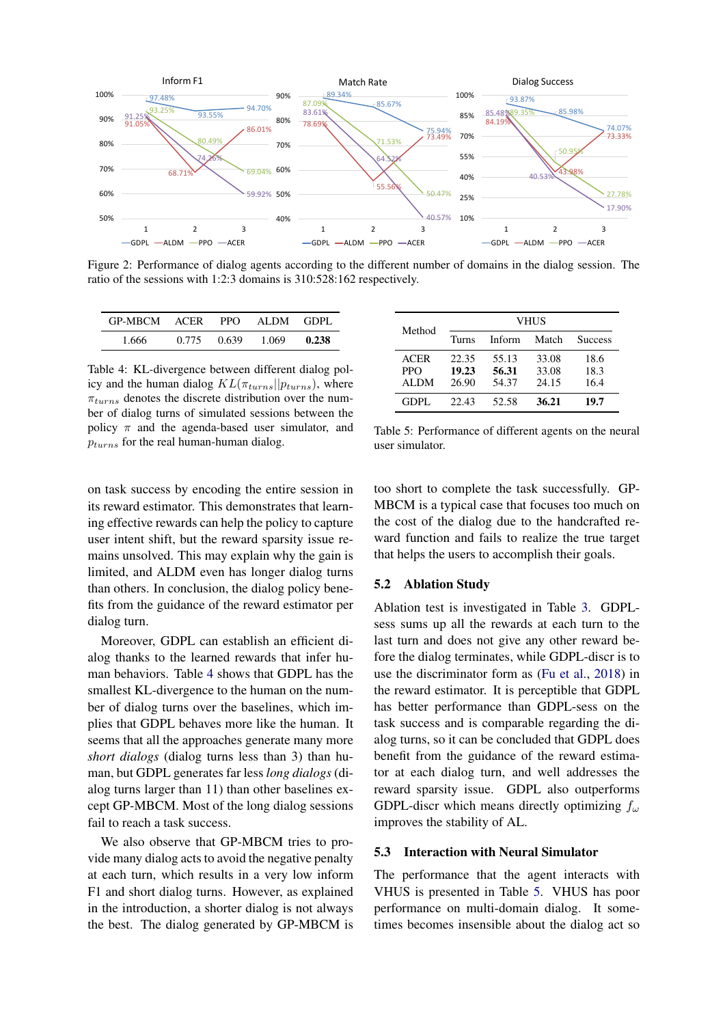<span id="page-6-2"></span>

Figure 2: Performance of dialog agents according to the different number of domains in the dialog session. The ratio of the sessions with 1:2:3 domains is 310:528:162 respectively.

<span id="page-6-0"></span>

| GP-MBCM ACER |       | PPO   | ALDM GDPL |       |
|--------------|-------|-------|-----------|-------|
| 1.666        | 0.775 | 0.639 | 1.069     | 0.238 |

Table 4: KL-divergence between different dialog policy and the human dialog  $KL(\pi_{turns}||p_{turns})$ , where  $\pi_{turns}$  denotes the discrete distribution over the number of dialog turns of simulated sessions between the policy  $\pi$  and the agenda-based user simulator, and  $p_{turns}$  for the real human-human dialog.

<span id="page-6-1"></span>

| Method                            |                         |                         | <b>VHUS</b>             |                      |
|-----------------------------------|-------------------------|-------------------------|-------------------------|----------------------|
|                                   | Turns                   | Inform                  | Match                   | <b>Success</b>       |
| <b>ACER</b><br><b>PPO</b><br>ALDM | 22.35<br>19.23<br>26.90 | 55.13<br>56.31<br>54.37 | 33.08<br>33.08<br>24.15 | 18.6<br>18.3<br>16.4 |
| GDPL.                             | 22.43                   | 52.58                   | 36.21                   | 19.7                 |

Table 5: Performance of different agents on the neural user simulator.

on task success by encoding the entire session in its reward estimator. This demonstrates that learning effective rewards can help the policy to capture user intent shift, but the reward sparsity issue remains unsolved. This may explain why the gain is limited, and ALDM even has longer dialog turns than others. In conclusion, the dialog policy benefits from the guidance of the reward estimator per dialog turn.

Moreover, GDPL can establish an efficient dialog thanks to the learned rewards that infer human behaviors. Table [4](#page-6-0) shows that GDPL has the smallest KL-divergence to the human on the number of dialog turns over the baselines, which implies that GDPL behaves more like the human. It seems that all the approaches generate many more *short dialogs* (dialog turns less than 3) than human, but GDPL generates far less *long dialogs* (dialog turns larger than 11) than other baselines except GP-MBCM. Most of the long dialog sessions fail to reach a task success.

We also observe that GP-MBCM tries to provide many dialog acts to avoid the negative penalty at each turn, which results in a very low inform F1 and short dialog turns. However, as explained in the introduction, a shorter dialog is not always the best. The dialog generated by GP-MBCM is too short to complete the task successfully. GP-MBCM is a typical case that focuses too much on the cost of the dialog due to the handcrafted reward function and fails to realize the true target that helps the users to accomplish their goals.

## 5.2 Ablation Study

Ablation test is investigated in Table [3.](#page-5-1) GDPLsess sums up all the rewards at each turn to the last turn and does not give any other reward before the dialog terminates, while GDPL-discr is to use the discriminator form as [\(Fu et al.,](#page-9-15) [2018\)](#page-9-15) in the reward estimator. It is perceptible that GDPL has better performance than GDPL-sess on the task success and is comparable regarding the dialog turns, so it can be concluded that GDPL does benefit from the guidance of the reward estimator at each dialog turn, and well addresses the reward sparsity issue. GDPL also outperforms GDPL-discr which means directly optimizing  $f_{\omega}$ improves the stability of AL.

## 5.3 Interaction with Neural Simulator

The performance that the agent interacts with VHUS is presented in Table [5.](#page-6-1) VHUS has poor performance on multi-domain dialog. It sometimes becomes insensible about the dialog act so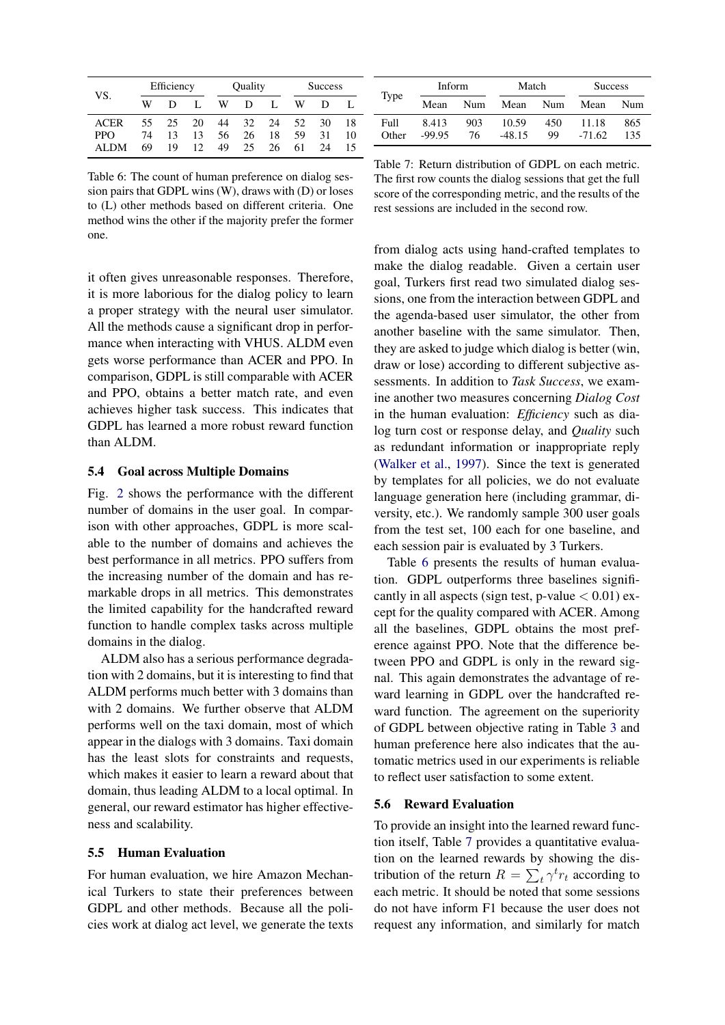<span id="page-7-0"></span>

|             | Efficiency |    |                 | Quality |    |    | <b>Success</b> |    |    |
|-------------|------------|----|-----------------|---------|----|----|----------------|----|----|
| VS.         | W          | D  |                 | w       | Ð  |    | w              | D  |    |
| <b>ACER</b> | 55.        | 25 | 20              | 44      | 32 | 24 | 52             | 30 | 18 |
| <b>PPO</b>  | 74         | 13 | 13              | 56      | 26 | 18 | 59             | 31 | 10 |
| ALDM        | 69         | 19 | 12 <sub>1</sub> | 49      | 25 | 26 | 61             | 24 | 15 |

Table 6: The count of human preference on dialog session pairs that GDPL wins (W), draws with (D) or loses to (L) other methods based on different criteria. One method wins the other if the majority prefer the former one.

it often gives unreasonable responses. Therefore, it is more laborious for the dialog policy to learn a proper strategy with the neural user simulator. All the methods cause a significant drop in performance when interacting with VHUS. ALDM even gets worse performance than ACER and PPO. In comparison, GDPL is still comparable with ACER and PPO, obtains a better match rate, and even achieves higher task success. This indicates that GDPL has learned a more robust reward function than ALDM.

## 5.4 Goal across Multiple Domains

Fig. [2](#page-6-2) shows the performance with the different number of domains in the user goal. In comparison with other approaches, GDPL is more scalable to the number of domains and achieves the best performance in all metrics. PPO suffers from the increasing number of the domain and has remarkable drops in all metrics. This demonstrates the limited capability for the handcrafted reward function to handle complex tasks across multiple domains in the dialog.

ALDM also has a serious performance degradation with 2 domains, but it is interesting to find that ALDM performs much better with 3 domains than with 2 domains. We further observe that ALDM performs well on the taxi domain, most of which appear in the dialogs with 3 domains. Taxi domain has the least slots for constraints and requests, which makes it easier to learn a reward about that domain, thus leading ALDM to a local optimal. In general, our reward estimator has higher effectiveness and scalability.

#### 5.5 Human Evaluation

For human evaluation, we hire Amazon Mechanical Turkers to state their preferences between GDPL and other methods. Because all the policies work at dialog act level, we generate the texts

<span id="page-7-1"></span>

|               | Inform            |           | Match             |           | <b>Success</b>    |            |
|---------------|-------------------|-----------|-------------------|-----------|-------------------|------------|
| Type          | Mean              | Num       | Mean              | Num       | Mean              | Num        |
| Full<br>Other | 8.413<br>$-99.95$ | 903<br>76 | 10.59<br>$-48.15$ | 450<br>99 | 11.18<br>$-71.62$ | 865<br>135 |

Table 7: Return distribution of GDPL on each metric. The first row counts the dialog sessions that get the full score of the corresponding metric, and the results of the rest sessions are included in the second row.

from dialog acts using hand-crafted templates to make the dialog readable. Given a certain user goal, Turkers first read two simulated dialog sessions, one from the interaction between GDPL and the agenda-based user simulator, the other from another baseline with the same simulator. Then, they are asked to judge which dialog is better (win, draw or lose) according to different subjective assessments. In addition to *Task Success*, we examine another two measures concerning *Dialog Cost* in the human evaluation: *Efficiency* such as dialog turn cost or response delay, and *Quality* such as redundant information or inappropriate reply [\(Walker et al.,](#page-10-17) [1997\)](#page-10-17). Since the text is generated by templates for all policies, we do not evaluate language generation here (including grammar, diversity, etc.). We randomly sample 300 user goals from the test set, 100 each for one baseline, and each session pair is evaluated by 3 Turkers.

Table [6](#page-7-0) presents the results of human evaluation. GDPL outperforms three baselines significantly in all aspects (sign test, p-value  $< 0.01$ ) except for the quality compared with ACER. Among all the baselines, GDPL obtains the most preference against PPO. Note that the difference between PPO and GDPL is only in the reward signal. This again demonstrates the advantage of reward learning in GDPL over the handcrafted reward function. The agreement on the superiority of GDPL between objective rating in Table [3](#page-5-1) and human preference here also indicates that the automatic metrics used in our experiments is reliable to reflect user satisfaction to some extent.

#### 5.6 Reward Evaluation

To provide an insight into the learned reward function itself, Table [7](#page-7-1) provides a quantitative evaluation on the learned rewards by showing the distribution of the return  $R = \sum_t \gamma^t r_t$  according to each metric. It should be noted that some sessions do not have inform F1 because the user does not request any information, and similarly for match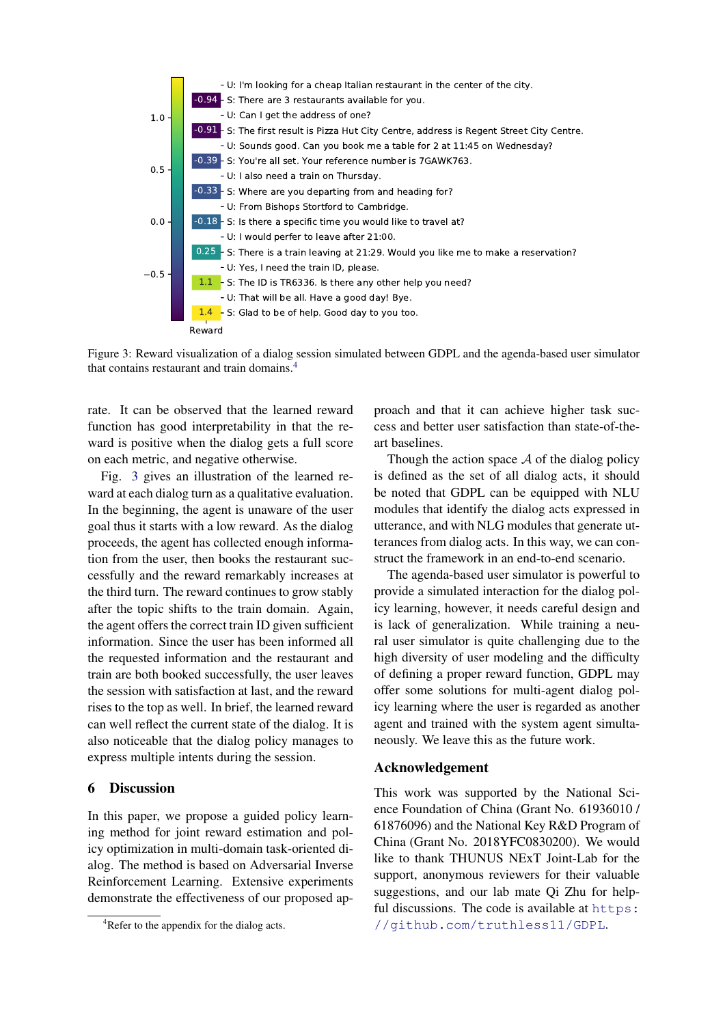<span id="page-8-1"></span>

Figure 3: Reward visualization of a dialog session simulated between GDPL and the agenda-based user simulator that contains restaurant and train domains.[4](#page-8-0)

rate. It can be observed that the learned reward function has good interpretability in that the reward is positive when the dialog gets a full score on each metric, and negative otherwise.

Fig. [3](#page-8-1) gives an illustration of the learned reward at each dialog turn as a qualitative evaluation. In the beginning, the agent is unaware of the user goal thus it starts with a low reward. As the dialog proceeds, the agent has collected enough information from the user, then books the restaurant successfully and the reward remarkably increases at the third turn. The reward continues to grow stably after the topic shifts to the train domain. Again, the agent offers the correct train ID given sufficient information. Since the user has been informed all the requested information and the restaurant and train are both booked successfully, the user leaves the session with satisfaction at last, and the reward rises to the top as well. In brief, the learned reward can well reflect the current state of the dialog. It is also noticeable that the dialog policy manages to express multiple intents during the session.

## 6 Discussion

In this paper, we propose a guided policy learning method for joint reward estimation and policy optimization in multi-domain task-oriented dialog. The method is based on Adversarial Inverse Reinforcement Learning. Extensive experiments demonstrate the effectiveness of our proposed ap-

proach and that it can achieve higher task success and better user satisfaction than state-of-theart baselines.

Though the action space  $A$  of the dialog policy is defined as the set of all dialog acts, it should be noted that GDPL can be equipped with NLU modules that identify the dialog acts expressed in utterance, and with NLG modules that generate utterances from dialog acts. In this way, we can construct the framework in an end-to-end scenario.

The agenda-based user simulator is powerful to provide a simulated interaction for the dialog policy learning, however, it needs careful design and is lack of generalization. While training a neural user simulator is quite challenging due to the high diversity of user modeling and the difficulty of defining a proper reward function, GDPL may offer some solutions for multi-agent dialog policy learning where the user is regarded as another agent and trained with the system agent simultaneously. We leave this as the future work.

## Acknowledgement

This work was supported by the National Science Foundation of China (Grant No. 61936010 / 61876096) and the National Key R&D Program of China (Grant No. 2018YFC0830200). We would like to thank THUNUS NExT Joint-Lab for the support, anonymous reviewers for their valuable suggestions, and our lab mate Qi Zhu for helpful discussions. The code is available at [https:](https://github.com/truthless11/GDPL) [//github.com/truthless11/GDPL](https://github.com/truthless11/GDPL).

<span id="page-8-0"></span><sup>&</sup>lt;sup>4</sup>Refer to the appendix for the dialog acts.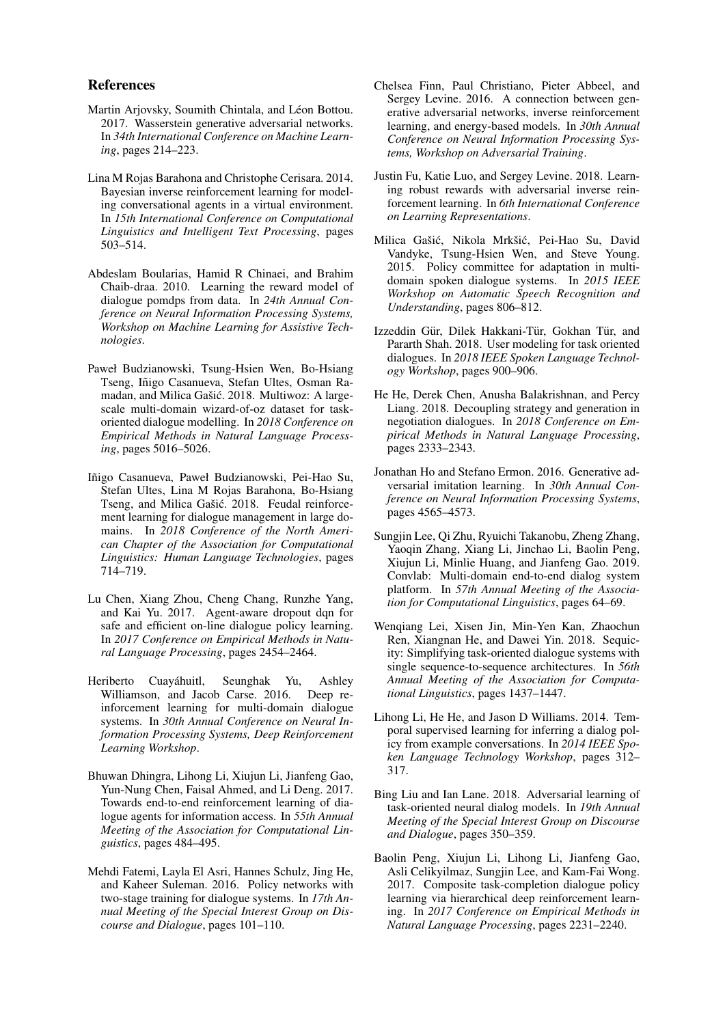### References

- <span id="page-9-16"></span>Martin Arjovsky, Soumith Chintala, and Léon Bottou. 2017. Wasserstein generative adversarial networks. In *34th International Conference on Machine Learning*, pages 214–223.
- <span id="page-9-11"></span>Lina M Rojas Barahona and Christophe Cerisara. 2014. Bayesian inverse reinforcement learning for modeling conversational agents in a virtual environment. In *15th International Conference on Computational Linguistics and Intelligent Text Processing*, pages 503–514.
- <span id="page-9-10"></span>Abdeslam Boularias, Hamid R Chinaei, and Brahim Chaib-draa. 2010. Learning the reward model of dialogue pomdps from data. In *24th Annual Conference on Neural Information Processing Systems, Workshop on Machine Learning for Assistive Technologies*.
- <span id="page-9-17"></span>Paweł Budzianowski, Tsung-Hsien Wen, Bo-Hsiang Tseng, Iñigo Casanueva, Stefan Ultes, Osman Ramadan, and Milica Gašić. 2018. Multiwoz: A largescale multi-domain wizard-of-oz dataset for taskoriented dialogue modelling. In *2018 Conference on Empirical Methods in Natural Language Processing*, pages 5016–5026.
- <span id="page-9-8"></span>Iñigo Casanueva, Paweł Budzianowski, Pei-Hao Su, Stefan Ultes, Lina M Rojas Barahona, Bo-Hsiang Tseng, and Milica Gašić. 2018. Feudal reinforcement learning for dialogue management in large domains. In *2018 Conference of the North American Chapter of the Association for Computational Linguistics: Human Language Technologies*, pages 714–719.
- <span id="page-9-2"></span>Lu Chen, Xiang Zhou, Cheng Chang, Runzhe Yang, and Kai Yu. 2017. Agent-aware dropout dqn for safe and efficient on-line dialogue policy learning. In *2017 Conference on Empirical Methods in Natural Language Processing*, pages 2454–2464.
- <span id="page-9-7"></span>Heriberto Cuayáhuitl, Seunghak Yu, Ashley<br>Williamson, and Jacob Carse. 2016. Deep re-Williamson, and Jacob Carse. 2016. inforcement learning for multi-domain dialogue systems. In *30th Annual Conference on Neural Information Processing Systems, Deep Reinforcement Learning Workshop*.
- <span id="page-9-5"></span>Bhuwan Dhingra, Lihong Li, Xiujun Li, Jianfeng Gao, Yun-Nung Chen, Faisal Ahmed, and Li Deng. 2017. Towards end-to-end reinforcement learning of dialogue agents for information access. In *55th Annual Meeting of the Association for Computational Linguistics*, pages 484–495.
- <span id="page-9-0"></span>Mehdi Fatemi, Layla El Asri, Hannes Schulz, Jing He, and Kaheer Suleman. 2016. Policy networks with two-stage training for dialogue systems. In *17th Annual Meeting of the Special Interest Group on Discourse and Dialogue*, pages 101–110.
- <span id="page-9-13"></span>Chelsea Finn, Paul Christiano, Pieter Abbeel, and Sergey Levine. 2016. A connection between generative adversarial networks, inverse reinforcement learning, and energy-based models. In *30th Annual Conference on Neural Information Processing Systems, Workshop on Adversarial Training*.
- <span id="page-9-15"></span>Justin Fu, Katie Luo, and Sergey Levine. 2018. Learning robust rewards with adversarial inverse reinforcement learning. In *6th International Conference on Learning Representations*.
- <span id="page-9-6"></span>Milica Gašić, Nikola Mrkšić, Pei-Hao Su, David Vandyke, Tsung-Hsien Wen, and Steve Young. 2015. Policy committee for adaptation in multidomain spoken dialogue systems. In *2015 IEEE Workshop on Automatic Speech Recognition and Understanding*, pages 806–812.
- <span id="page-9-18"></span>Izzeddin Gür, Dilek Hakkani-Tür, Gokhan Tür, and Pararth Shah. 2018. User modeling for task oriented dialogues. In *2018 IEEE Spoken Language Technology Workshop*, pages 900–906.
- <span id="page-9-4"></span>He He, Derek Chen, Anusha Balakrishnan, and Percy Liang. 2018. Decoupling strategy and generation in negotiation dialogues. In *2018 Conference on Empirical Methods in Natural Language Processing*, pages 2333–2343.
- <span id="page-9-14"></span>Jonathan Ho and Stefano Ermon. 2016. Generative adversarial imitation learning. In *30th Annual Conference on Neural Information Processing Systems*, pages 4565–4573.
- <span id="page-9-19"></span>Sungjin Lee, Qi Zhu, Ryuichi Takanobu, Zheng Zhang, Yaoqin Zhang, Xiang Li, Jinchao Li, Baolin Peng, Xiujun Li, Minlie Huang, and Jianfeng Gao. 2019. Convlab: Multi-domain end-to-end dialog system platform. In *57th Annual Meeting of the Association for Computational Linguistics*, pages 64–69.
- <span id="page-9-3"></span>Wenqiang Lei, Xisen Jin, Min-Yen Kan, Zhaochun Ren, Xiangnan He, and Dawei Yin. 2018. Sequicity: Simplifying task-oriented dialogue systems with single sequence-to-sequence architectures. In *56th Annual Meeting of the Association for Computational Linguistics*, pages 1437–1447.
- <span id="page-9-9"></span>Lihong Li, He He, and Jason D Williams. 2014. Temporal supervised learning for inferring a dialog policy from example conversations. In *2014 IEEE Spoken Language Technology Workshop*, pages 312– 317.
- <span id="page-9-12"></span>Bing Liu and Ian Lane. 2018. Adversarial learning of task-oriented neural dialog models. In *19th Annual Meeting of the Special Interest Group on Discourse and Dialogue*, pages 350–359.
- <span id="page-9-1"></span>Baolin Peng, Xiujun Li, Lihong Li, Jianfeng Gao, Asli Celikyilmaz, Sungjin Lee, and Kam-Fai Wong. 2017. Composite task-completion dialogue policy learning via hierarchical deep reinforcement learning. In *2017 Conference on Empirical Methods in Natural Language Processing*, pages 2231–2240.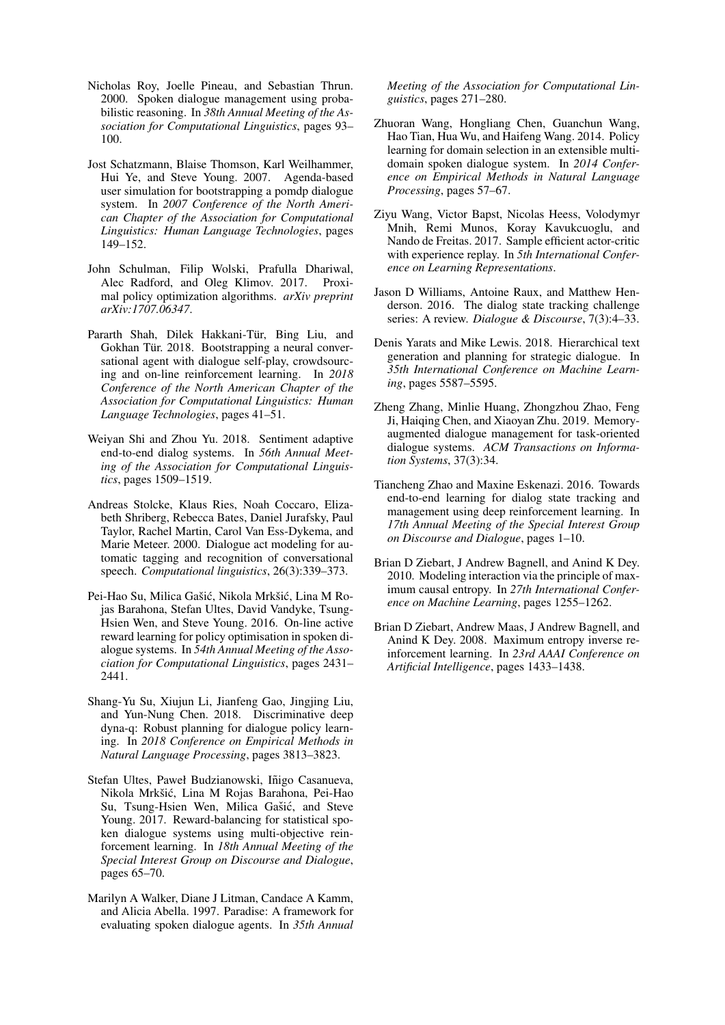- <span id="page-10-11"></span>Nicholas Roy, Joelle Pineau, and Sebastian Thrun. 2000. Spoken dialogue management using probabilistic reasoning. In *38th Annual Meeting of the Association for Computational Linguistics*, pages 93– 100.
- <span id="page-10-15"></span>Jost Schatzmann, Blaise Thomson, Karl Weilhammer, Hui Ye, and Steve Young. 2007. Agenda-based user simulation for bootstrapping a pomdp dialogue system. In *2007 Conference of the North American Chapter of the Association for Computational Linguistics: Human Language Technologies*, pages 149–152.
- <span id="page-10-14"></span>John Schulman, Filip Wolski, Prafulla Dhariwal, Alec Radford, and Oleg Klimov. 2017. Proximal policy optimization algorithms. *arXiv preprint arXiv:1707.06347*.
- <span id="page-10-3"></span>Pararth Shah, Dilek Hakkani-Tür, Bing Liu, and Gokhan Tür. 2018. Bootstrapping a neural conversational agent with dialogue self-play, crowdsourcing and on-line reinforcement learning. In *2018 Conference of the North American Chapter of the Association for Computational Linguistics: Human Language Technologies*, pages 41–51.
- <span id="page-10-4"></span>Weiyan Shi and Zhou Yu. 2018. Sentiment adaptive end-to-end dialog systems. In *56th Annual Meeting of the Association for Computational Linguistics*, pages 1509–1519.
- <span id="page-10-12"></span>Andreas Stolcke, Klaus Ries, Noah Coccaro, Elizabeth Shriberg, Rebecca Bates, Daniel Jurafsky, Paul Taylor, Rachel Martin, Carol Van Ess-Dykema, and Marie Meteer. 2000. Dialogue act modeling for automatic tagging and recognition of conversational speech. *Computational linguistics*, 26(3):339–373.
- <span id="page-10-5"></span>Pei-Hao Su, Milica Gašić, Nikola Mrkšić, Lina M Rojas Barahona, Stefan Ultes, David Vandyke, Tsung-Hsien Wen, and Steve Young. 2016. On-line active reward learning for policy optimisation in spoken dialogue systems. In *54th Annual Meeting of the Association for Computational Linguistics*, pages 2431– 2441.
- <span id="page-10-1"></span>Shang-Yu Su, Xiujun Li, Jianfeng Gao, Jingjing Liu, and Yun-Nung Chen. 2018. Discriminative deep dyna-q: Robust planning for dialogue policy learning. In *2018 Conference on Empirical Methods in Natural Language Processing*, pages 3813–3823.
- <span id="page-10-7"></span>Stefan Ultes, Paweł Budzianowski, Iñigo Casanueva, Nikola Mrkšić, Lina M Rojas Barahona, Pei-Hao Su, Tsung-Hsien Wen, Milica Gašić, and Steve Young. 2017. Reward-balancing for statistical spoken dialogue systems using multi-objective reinforcement learning. In *18th Annual Meeting of the Special Interest Group on Discourse and Dialogue*, pages 65–70.
- <span id="page-10-17"></span>Marilyn A Walker, Diane J Litman, Candace A Kamm, and Alicia Abella. 1997. Paradise: A framework for evaluating spoken dialogue agents. In *35th Annual*

*Meeting of the Association for Computational Linguistics*, pages 271–280.

- <span id="page-10-6"></span>Zhuoran Wang, Hongliang Chen, Guanchun Wang, Hao Tian, Hua Wu, and Haifeng Wang. 2014. Policy learning for domain selection in an extensible multidomain spoken dialogue system. In *2014 Conference on Empirical Methods in Natural Language Processing*, pages 57–67.
- <span id="page-10-16"></span>Ziyu Wang, Victor Bapst, Nicolas Heess, Volodymyr Mnih, Remi Munos, Koray Kavukcuoglu, and Nando de Freitas. 2017. Sample efficient actor-critic with experience replay. In *5th International Conference on Learning Representations*.
- <span id="page-10-9"></span>Jason D Williams, Antoine Raux, and Matthew Henderson. 2016. The dialog state tracking challenge series: A review. *Dialogue & Discourse*, 7(3):4–33.
- <span id="page-10-0"></span>Denis Yarats and Mike Lewis. 2018. Hierarchical text generation and planning for strategic dialogue. In *35th International Conference on Machine Learning*, pages 5587–5595.
- <span id="page-10-10"></span>Zheng Zhang, Minlie Huang, Zhongzhou Zhao, Feng Ji, Haiqing Chen, and Xiaoyan Zhu. 2019. Memoryaugmented dialogue management for task-oriented dialogue systems. *ACM Transactions on Information Systems*, 37(3):34.
- <span id="page-10-2"></span>Tiancheng Zhao and Maxine Eskenazi. 2016. Towards end-to-end learning for dialog state tracking and management using deep reinforcement learning. In *17th Annual Meeting of the Special Interest Group on Discourse and Dialogue*, pages 1–10.
- <span id="page-10-8"></span>Brian D Ziebart, J Andrew Bagnell, and Anind K Dey. 2010. Modeling interaction via the principle of maximum causal entropy. In *27th International Conference on Machine Learning*, pages 1255–1262.
- <span id="page-10-13"></span>Brian D Ziebart, Andrew Maas, J Andrew Bagnell, and Anind K Dey. 2008. Maximum entropy inverse reinforcement learning. In *23rd AAAI Conference on Artificial Intelligence*, pages 1433–1438.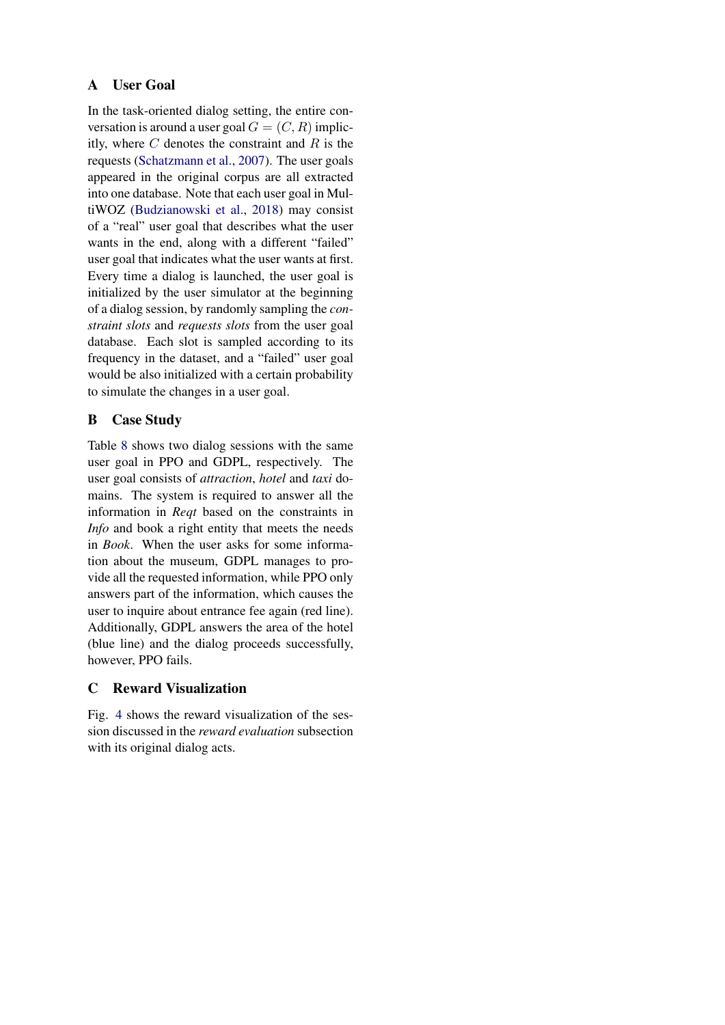# A User Goal

In the task-oriented dialog setting, the entire conversation is around a user goal  $G = (C, R)$  implicitly, where  $C$  denotes the constraint and  $R$  is the requests [\(Schatzmann et al.,](#page-10-15) [2007\)](#page-10-15). The user goals appeared in the original corpus are all extracted into one database. Note that each user goal in MultiWOZ [\(Budzianowski et al.,](#page-9-17) [2018\)](#page-9-17) may consist of a "real" user goal that describes what the user wants in the end, along with a different "failed" user goal that indicates what the user wants at first. Every time a dialog is launched, the user goal is initialized by the user simulator at the beginning of a dialog session, by randomly sampling the *constraint slots* and *requests slots* from the user goal database. Each slot is sampled according to its frequency in the dataset, and a "failed" user goal would be also initialized with a certain probability to simulate the changes in a user goal.

# B Case Study

Table [8](#page-12-0) shows two dialog sessions with the same user goal in PPO and GDPL, respectively. The user goal consists of *attraction*, *hotel* and *taxi* domains. The system is required to answer all the information in *Reqt* based on the constraints in *Info* and book a right entity that meets the needs in *Book*. When the user asks for some information about the museum, GDPL manages to provide all the requested information, while PPO only answers part of the information, which causes the user to inquire about entrance fee again (red line). Additionally, GDPL answers the area of the hotel (blue line) and the dialog proceeds successfully, however, PPO fails.

# C Reward Visualization

Fig. [4](#page-12-1) shows the reward visualization of the session discussed in the *reward evaluation* subsection with its original dialog acts.